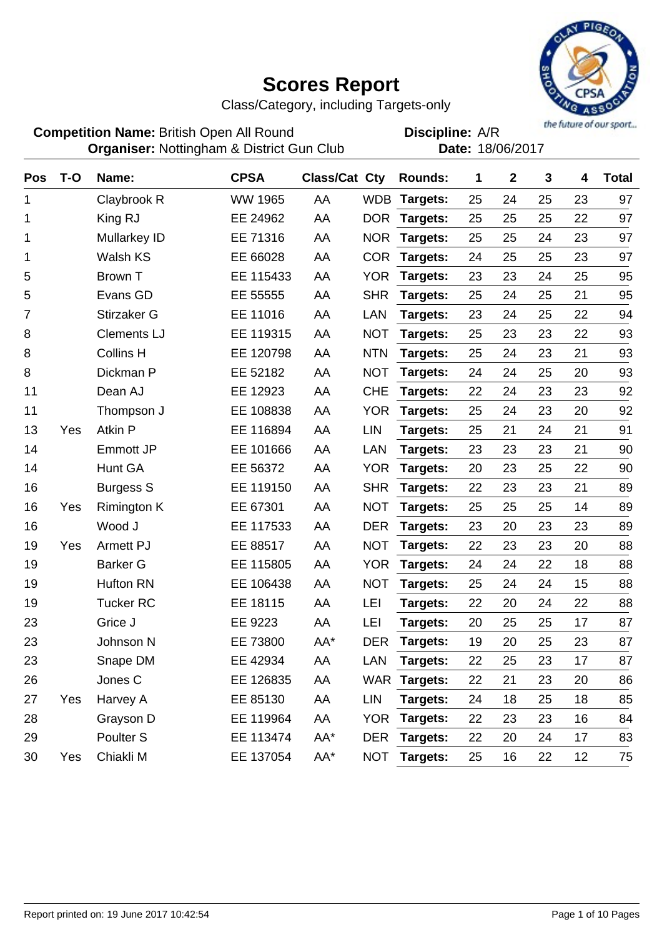

Class/Category, including Targets-only

**Competition Name:** British Open All Round **Competition Name:** A/R **Organiser:** Nottingham & District Gun Club **Date: 18/06/2017** 

| Pos | T-O | Name:                | <b>CPSA</b>    | Class/Cat Cty |            | <b>Rounds:</b>  | 1  | $\boldsymbol{2}$ | 3  | 4  | <b>Total</b> |
|-----|-----|----------------------|----------------|---------------|------------|-----------------|----|------------------|----|----|--------------|
| 1   |     | Claybrook R          | <b>WW 1965</b> | AA            |            | WDB Targets:    | 25 | 24               | 25 | 23 | 97           |
| 1   |     | King RJ              | EE 24962       | AA            | DOR        | Targets:        | 25 | 25               | 25 | 22 | 97           |
| 1   |     | Mullarkey ID         | EE 71316       | AA            | <b>NOR</b> | Targets:        | 25 | 25               | 24 | 23 | 97           |
| 1   |     | Walsh KS             | EE 66028       | AA            | <b>COR</b> | Targets:        | 24 | 25               | 25 | 23 | 97           |
| 5   |     | Brown T              | EE 115433      | AA            | <b>YOR</b> | Targets:        | 23 | 23               | 24 | 25 | 95           |
| 5   |     | Evans GD             | EE 55555       | AA            | <b>SHR</b> | Targets:        | 25 | 24               | 25 | 21 | 95           |
| 7   |     | Stirzaker G          | EE 11016       | AA            | <b>LAN</b> | Targets:        | 23 | 24               | 25 | 22 | 94           |
| 8   |     | <b>Clements LJ</b>   | EE 119315      | AA            | <b>NOT</b> | Targets:        | 25 | 23               | 23 | 22 | 93           |
| 8   |     | <b>Collins H</b>     | EE 120798      | AA            | <b>NTN</b> | Targets:        | 25 | 24               | 23 | 21 | 93           |
| 8   |     | Dickman P            | EE 52182       | AA            | <b>NOT</b> | Targets:        | 24 | 24               | 25 | 20 | 93           |
| 11  |     | Dean AJ              | EE 12923       | AA            | <b>CHE</b> | Targets:        | 22 | 24               | 23 | 23 | 92           |
| 11  |     | Thompson J           | EE 108838      | AA            | <b>YOR</b> | Targets:        | 25 | 24               | 23 | 20 | 92           |
| 13  | Yes | Atkin P              | EE 116894      | AA            | LIN        | Targets:        | 25 | 21               | 24 | 21 | 91           |
| 14  |     | Emmott JP            | EE 101666      | AA            | <b>LAN</b> | Targets:        | 23 | 23               | 23 | 21 | 90           |
| 14  |     | Hunt GA              | EE 56372       | AA            | <b>YOR</b> | Targets:        | 20 | 23               | 25 | 22 | 90           |
| 16  |     | <b>Burgess S</b>     | EE 119150      | AA            | <b>SHR</b> | Targets:        | 22 | 23               | 23 | 21 | 89           |
| 16  | Yes | <b>Rimington K</b>   | EE 67301       | AA            | <b>NOT</b> | Targets:        | 25 | 25               | 25 | 14 | 89           |
| 16  |     | Wood J               | EE 117533      | AA            | <b>DER</b> | Targets:        | 23 | 20               | 23 | 23 | 89           |
| 19  | Yes | <b>Armett PJ</b>     | EE 88517       | AA            | <b>NOT</b> | Targets:        | 22 | 23               | 23 | 20 | 88           |
| 19  |     | <b>Barker G</b>      | EE 115805      | AA            | <b>YOR</b> | Targets:        | 24 | 24               | 22 | 18 | 88           |
| 19  |     | Hufton RN            | EE 106438      | AA            | <b>NOT</b> | Targets:        | 25 | 24               | 24 | 15 | 88           |
| 19  |     | <b>Tucker RC</b>     | EE 18115       | AA            | LEI        | Targets:        | 22 | 20               | 24 | 22 | 88           |
| 23  |     | Grice J              | EE 9223        | AA            | LEI        | Targets:        | 20 | 25               | 25 | 17 | 87           |
| 23  |     | Johnson N            | EE 73800       | AA*           | <b>DER</b> | Targets:        | 19 | 20               | 25 | 23 | 87           |
| 23  |     | Snape DM             | EE 42934       | AA            | LAN        | <b>Targets:</b> | 22 | 25               | 23 | 17 | 87           |
| 26  |     | Jones C              | EE 126835      | AA            |            | WAR Targets:    | 22 | 21               | 23 | 20 | 86           |
| 27  | Yes | Harvey A             | EE 85130       | AA            | <b>LIN</b> | Targets:        | 24 | 18               | 25 | 18 | 85           |
| 28  |     | Grayson D            | EE 119964      | AA            |            | YOR Targets:    | 22 | 23               | 23 | 16 | 84           |
| 29  |     | Poulter <sub>S</sub> | EE 113474      | AA*           |            | DER Targets:    | 22 | 20               | 24 | 17 | 83           |
| 30  | Yes | Chiakli M            | EE 137054      | AA*           |            | NOT Targets:    | 25 | 16               | 22 | 12 | 75           |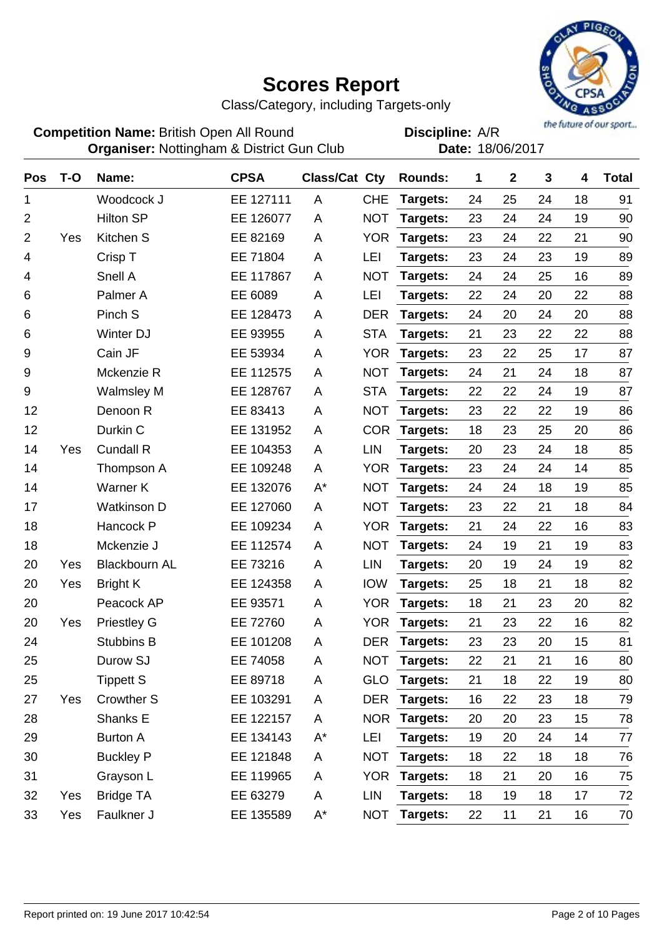

Class/Category, including Targets-only

**Competition Name:** British Open All Round **Competition Name:** A/R **Organiser:** Nottingham & District Gun Club **Date: 18/06/2017** 

| Pos            | $T-O$ | Name:                | <b>CPSA</b> | Class/Cat Cty      |            | <b>Rounds:</b>  | 1  | $\mathbf{2}$ | 3  | 4  | <b>Total</b> |
|----------------|-------|----------------------|-------------|--------------------|------------|-----------------|----|--------------|----|----|--------------|
| 1              |       | Woodcock J           | EE 127111   | A                  | <b>CHE</b> | Targets:        | 24 | 25           | 24 | 18 | 91           |
| $\overline{2}$ |       | <b>Hilton SP</b>     | EE 126077   | A                  | <b>NOT</b> | Targets:        | 23 | 24           | 24 | 19 | 90           |
| $\overline{2}$ | Yes   | Kitchen S            | EE 82169    | Α                  | <b>YOR</b> | Targets:        | 23 | 24           | 22 | 21 | 90           |
| 4              |       | Crisp T              | EE 71804    | A                  | LEI        | Targets:        | 23 | 24           | 23 | 19 | 89           |
| 4              |       | Snell A              | EE 117867   | A                  | <b>NOT</b> | Targets:        | 24 | 24           | 25 | 16 | 89           |
| 6              |       | Palmer A             | EE 6089     | A                  | LEI        | Targets:        | 22 | 24           | 20 | 22 | 88           |
| 6              |       | Pinch S              | EE 128473   | A                  | <b>DER</b> | Targets:        | 24 | 20           | 24 | 20 | 88           |
| 6              |       | Winter DJ            | EE 93955    | A                  | <b>STA</b> | Targets:        | 21 | 23           | 22 | 22 | 88           |
| 9              |       | Cain JF              | EE 53934    | A                  | <b>YOR</b> | Targets:        | 23 | 22           | 25 | 17 | 87           |
| 9              |       | Mckenzie R           | EE 112575   | A                  | <b>NOT</b> | Targets:        | 24 | 21           | 24 | 18 | 87           |
| 9              |       | <b>Walmsley M</b>    | EE 128767   | A                  | <b>STA</b> | Targets:        | 22 | 22           | 24 | 19 | 87           |
| 12             |       | Denoon R             | EE 83413    | A                  | <b>NOT</b> | Targets:        | 23 | 22           | 22 | 19 | 86           |
| 12             |       | Durkin C             | EE 131952   | Α                  | <b>COR</b> | Targets:        | 18 | 23           | 25 | 20 | 86           |
| 14             | Yes   | <b>Cundall R</b>     | EE 104353   | A                  | <b>LIN</b> | Targets:        | 20 | 23           | 24 | 18 | 85           |
| 14             |       | Thompson A           | EE 109248   | A                  | <b>YOR</b> | Targets:        | 23 | 24           | 24 | 14 | 85           |
| 14             |       | Warner K             | EE 132076   | $A^*$              | <b>NOT</b> | Targets:        | 24 | 24           | 18 | 19 | 85           |
| 17             |       | <b>Watkinson D</b>   | EE 127060   | A                  | <b>NOT</b> | Targets:        | 23 | 22           | 21 | 18 | 84           |
| 18             |       | Hancock P            | EE 109234   | A                  | <b>YOR</b> | Targets:        | 21 | 24           | 22 | 16 | 83           |
| 18             |       | Mckenzie J           | EE 112574   | A                  | <b>NOT</b> | Targets:        | 24 | 19           | 21 | 19 | 83           |
| 20             | Yes   | <b>Blackbourn AL</b> | EE 73216    | Α                  | LIN        | Targets:        | 20 | 19           | 24 | 19 | 82           |
| 20             | Yes   | <b>Bright K</b>      | EE 124358   | A                  | <b>IOW</b> | Targets:        | 25 | 18           | 21 | 18 | 82           |
| 20             |       | Peacock AP           | EE 93571    | Α                  | <b>YOR</b> | Targets:        | 18 | 21           | 23 | 20 | 82           |
| 20             | Yes   | <b>Priestley G</b>   | EE 72760    | Α                  | <b>YOR</b> | Targets:        | 21 | 23           | 22 | 16 | 82           |
| 24             |       | Stubbins B           | EE 101208   | Α                  | <b>DER</b> | Targets:        | 23 | 23           | 20 | 15 | 81           |
| 25             |       | Durow SJ             | EE 74058    | Α                  | <b>NOT</b> | Targets:        | 22 | 21           | 21 | 16 | 80           |
| 25             |       | <b>Tippett S</b>     | EE 89718    | A                  |            | GLO Targets:    | 21 | 18           | 22 | 19 | 80           |
| 27             | Yes   | Crowther S           | EE 103291   | A                  | <b>DER</b> | Targets:        | 16 | 22           | 23 | 18 | 79           |
| 28             |       | Shanks E             | EE 122157   | A                  |            | NOR Targets:    | 20 | 20           | 23 | 15 | 78           |
| 29             |       | <b>Burton A</b>      | EE 134143   | $\mathsf{A}^\star$ | LEI        | Targets:        | 19 | 20           | 24 | 14 | 77           |
| 30             |       | <b>Buckley P</b>     | EE 121848   | A                  | <b>NOT</b> | Targets:        | 18 | 22           | 18 | 18 | 76           |
| 31             |       | Grayson L            | EE 119965   | A                  | <b>YOR</b> | Targets:        | 18 | 21           | 20 | 16 | 75           |
| 32             | Yes   | <b>Bridge TA</b>     | EE 63279    | A                  | LIN        | Targets:        | 18 | 19           | 18 | 17 | 72           |
| 33             | Yes   | Faulkner J           | EE 135589   | A*                 | <b>NOT</b> | <b>Targets:</b> | 22 | 11           | 21 | 16 | 70           |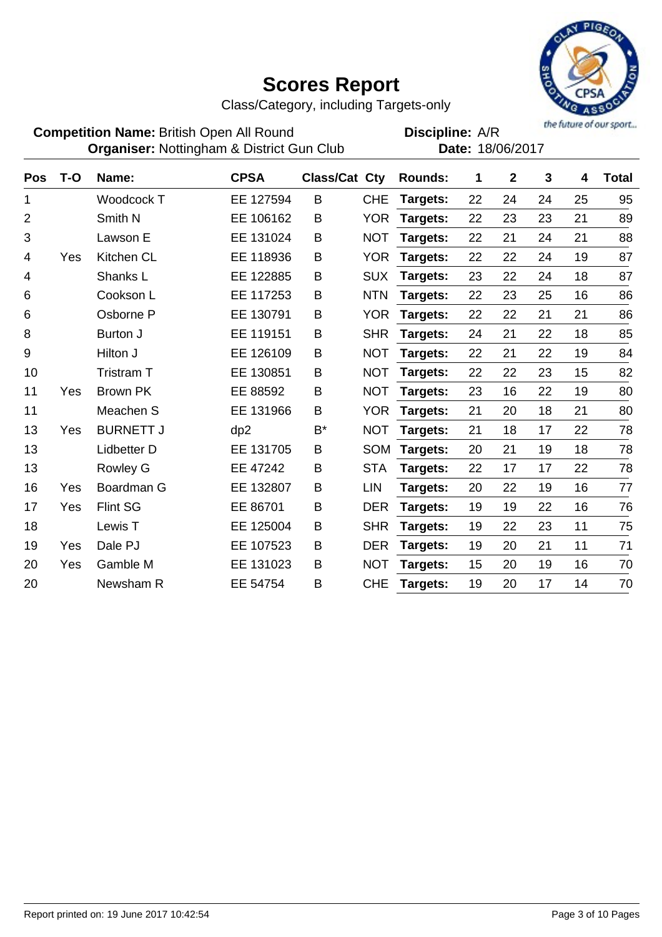

Class/Category, including Targets-only

**Competition Name:** British Open All Round **Competition Name:** A/R **Organiser:** Nottingham & District Gun Club **Date: 18/06/2017** 

| <b>Pos</b>     | $T-O$ | Name:              | <b>CPSA</b>  | Class/Cat Cty |            | <b>Rounds:</b> | 1  | $\mathbf{2}$ | 3  | 4  | <b>Total</b> |
|----------------|-------|--------------------|--------------|---------------|------------|----------------|----|--------------|----|----|--------------|
| 1              |       | Woodcock T         | EE 127594    | B             | <b>CHE</b> | Targets:       | 22 | 24           | 24 | 25 | 95           |
| $\overline{2}$ |       | Smith N            | EE 106162    | B             | <b>YOR</b> | Targets:       | 22 | 23           | 23 | 21 | 89           |
| 3              |       | Lawson E           | EE 131024    | B             | <b>NOT</b> | Targets:       | 22 | 21           | 24 | 21 | 88           |
| 4              | Yes   | Kitchen CL         | EE 118936    | B             | <b>YOR</b> | Targets:       | 22 | 22           | 24 | 19 | 87           |
| 4              |       | Shanks L           | EE 122885    | B             | <b>SUX</b> | Targets:       | 23 | 22           | 24 | 18 | 87           |
| 6              |       | Cookson L          | EE 117253    | B             | <b>NTN</b> | Targets:       | 22 | 23           | 25 | 16 | 86           |
| 6              |       | Osborne P          | EE 130791    | B             | <b>YOR</b> | Targets:       | 22 | 22           | 21 | 21 | 86           |
| 8              |       | Burton J           | EE 119151    | B             | <b>SHR</b> | Targets:       | 24 | 21           | 22 | 18 | 85           |
| 9              |       | Hilton J           | EE 126109    | B             | <b>NOT</b> | Targets:       | 22 | 21           | 22 | 19 | 84           |
| 10             |       | Tristram T         | EE 130851    | B             | <b>NOT</b> | Targets:       | 22 | 22           | 23 | 15 | 82           |
| 11             | Yes   | <b>Brown PK</b>    | EE 88592     | B             | <b>NOT</b> | Targets:       | 23 | 16           | 22 | 19 | 80           |
| 11             |       | Meachen S          | 131966<br>EЕ | B             | <b>YOR</b> | Targets:       | 21 | 20           | 18 | 21 | 80           |
| 13             | Yes   | <b>BURNETT J</b>   | dp2          | B*            | <b>NOT</b> | Targets:       | 21 | 18           | 17 | 22 | 78           |
| 13             |       | Lidbetter D        | EE 131705    | B             | <b>SOM</b> | Targets:       | 20 | 21           | 19 | 18 | 78           |
| 13             |       | <b>Rowley G</b>    | EE 47242     | B             | <b>STA</b> | Targets:       | 22 | 17           | 17 | 22 | 78           |
| 16             | Yes   | Boardman G         | EE 132807    | B             | LIN        | Targets:       | 20 | 22           | 19 | 16 | 77           |
| 17             | Yes   | <b>Flint SG</b>    | EE 86701     | B             | <b>DER</b> | Targets:       | 19 | 19           | 22 | 16 | 76           |
| 18             |       | Lewis <sub>T</sub> | 125004<br>EЕ | B             | <b>SHR</b> | Targets:       | 19 | 22           | 23 | 11 | 75           |
| 19             | Yes   | Dale PJ            | EE 107523    | B             | <b>DER</b> | Targets:       | 19 | 20           | 21 | 11 | 71           |
| 20             | Yes   | Gamble M           | EE 131023    | B             | <b>NOT</b> | Targets:       | 15 | 20           | 19 | 16 | 70           |
| 20             |       | Newsham R          | EE 54754     | B             | <b>CHE</b> | Targets:       | 19 | 20           | 17 | 14 | 70           |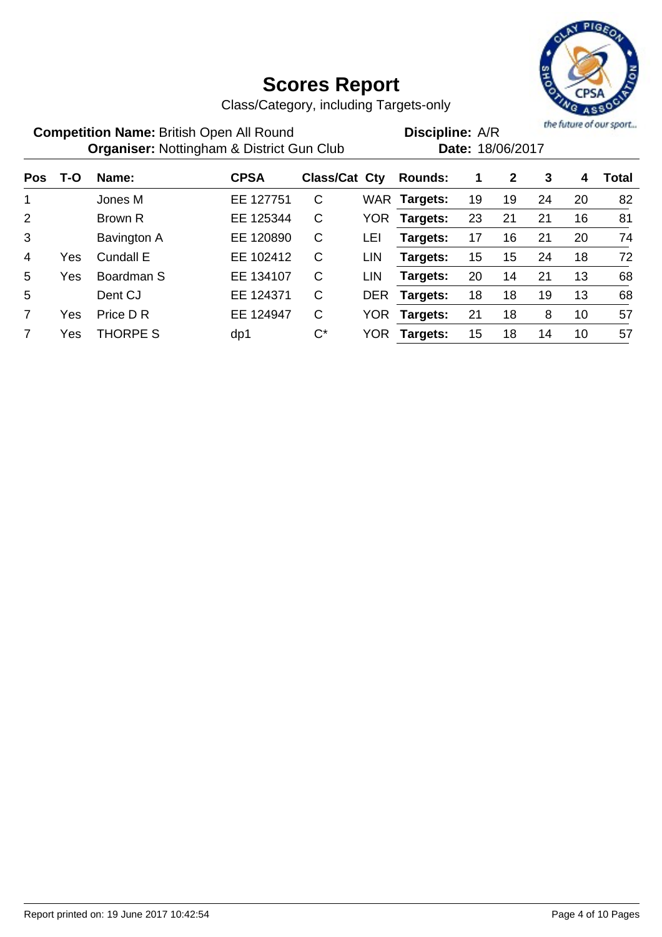

Class/Category, including Targets-only

|            | <b>Competition Name: British Open All Round</b><br><b>Organiser: Nottingham &amp; District Gun Club</b> |                  |             |               |            | Discipline: A/R | the constant of one show that<br>Date: 18/06/2017 |              |    |    |              |
|------------|---------------------------------------------------------------------------------------------------------|------------------|-------------|---------------|------------|-----------------|---------------------------------------------------|--------------|----|----|--------------|
| <b>Pos</b> | T-O                                                                                                     | Name:            | <b>CPSA</b> | Class/Cat Cty |            | <b>Rounds:</b>  | 1                                                 | $\mathbf{2}$ | 3  | 4  | <b>Total</b> |
|            |                                                                                                         | Jones M          | EE 127751   | C             |            | WAR Targets:    | 19                                                | 19           | 24 | 20 | 82           |
| 2          |                                                                                                         | Brown R          | EE 125344   | C             | YOR.       | Targets:        | 23                                                | 21           | 21 | 16 | 81           |
| 3          |                                                                                                         | Bavington A      | EE 120890   | C             | LEI        | Targets:        | 17                                                | 16           | 21 | 20 | 74           |
| 4          | Yes                                                                                                     | <b>Cundall E</b> | EE 102412   | C             | LIN        | Targets:        | 15                                                | 15           | 24 | 18 | 72           |
| 5          | Yes                                                                                                     | Boardman S       | EE 134107   | C             | LIN        | Targets:        | 20                                                | 14           | 21 | 13 | 68           |
| 5          |                                                                                                         | Dent CJ          | EE 124371   | C             | <b>DER</b> | Targets:        | 18                                                | 18           | 19 | 13 | 68           |
|            | Yes                                                                                                     | Price D R        | EE 124947   | $\mathsf{C}$  | <b>YOR</b> | Targets:        | 21                                                | 18           | 8  | 10 | 57           |
|            | Yes                                                                                                     | <b>THORPE S</b>  | dp1         | $C^*$         | YOR        | Targets:        | 15                                                | 18           | 14 | 10 | 57           |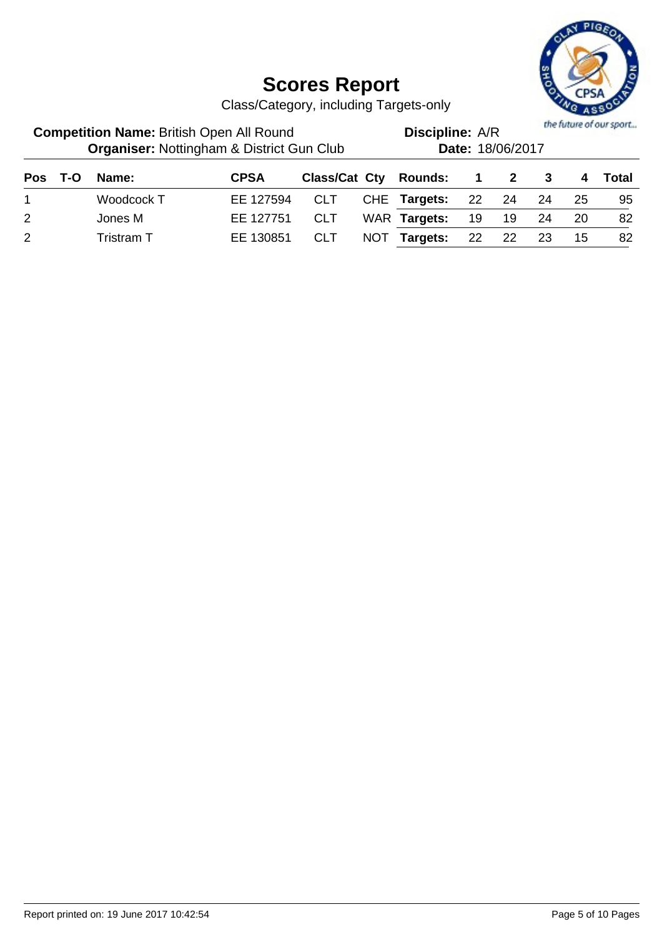

Class/Category, including Targets-only

|            | <b>Competition Name: British Open All Round</b><br><b>Organiser: Nottingham &amp; District Gun Club</b> |            |             |                      |            | Discipline: A/R | Date: 18/06/2017 |                | <b>INVESTIGATE AT ANY SEATER</b> |    |       |  |
|------------|---------------------------------------------------------------------------------------------------------|------------|-------------|----------------------|------------|-----------------|------------------|----------------|----------------------------------|----|-------|--|
| <b>Pos</b> | T-O                                                                                                     | Name:      | <b>CPSA</b> | <b>Class/Cat Cty</b> |            | <b>Rounds:</b>  |                  | $\overline{2}$ |                                  |    | Total |  |
|            |                                                                                                         | Woodcock T | EE 127594   | <b>CLT</b>           |            | CHE Targets:    | 22               | 24             | 24                               | 25 | 95    |  |
| 2          |                                                                                                         | Jones M    | EE 127751   | <b>CLT</b>           |            | WAR Targets:    | 19               | 19             | 24                               | 20 | 82    |  |
| 2          |                                                                                                         | Tristram T | EE 130851   | CL <sub>1</sub>      | <b>NOT</b> | Targets:        | 22               | 22             | 23                               | 15 | 82    |  |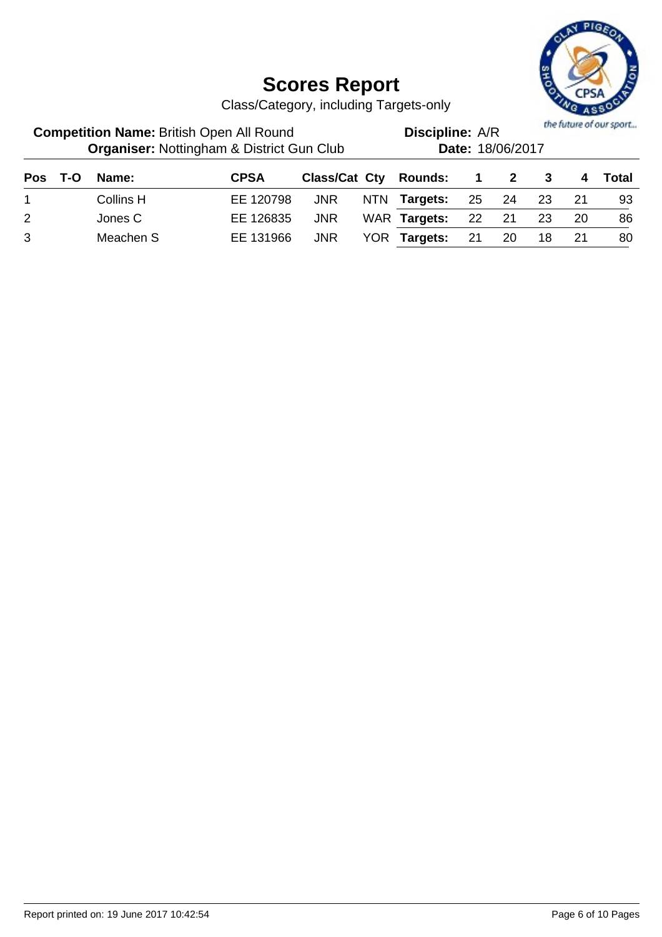

Class/Category, including Targets-only

|            | <b>Competition Name: British Open All Round</b><br><b>Organiser: Nottingham &amp; District Gun Club</b> |           |             |            |  | Discipline: A/R              | Date: 18/06/2017 | <b><i>Distribute of one shoulder</i></b> |     |     |       |
|------------|---------------------------------------------------------------------------------------------------------|-----------|-------------|------------|--|------------------------------|------------------|------------------------------------------|-----|-----|-------|
| <b>Pos</b> | T-O                                                                                                     | Name:     | <b>CPSA</b> |            |  | <b>Class/Cat Cty Rounds:</b> | $\mathbf 1$      |                                          | 2 3 |     | Total |
|            |                                                                                                         | Collins H | EE 120798   | <b>JNR</b> |  | NTN Targets:                 | 25               | - 24                                     | -23 | -21 | 93    |
| 2          |                                                                                                         | Jones C   | EE 126835   | <b>JNR</b> |  | WAR Targets:                 | 22               | -21                                      | -23 | -20 | 86    |
| 3          |                                                                                                         | Meachen S | EE 131966   | <b>JNR</b> |  | YOR Targets:                 | 21               | 20                                       | 18  |     | 80    |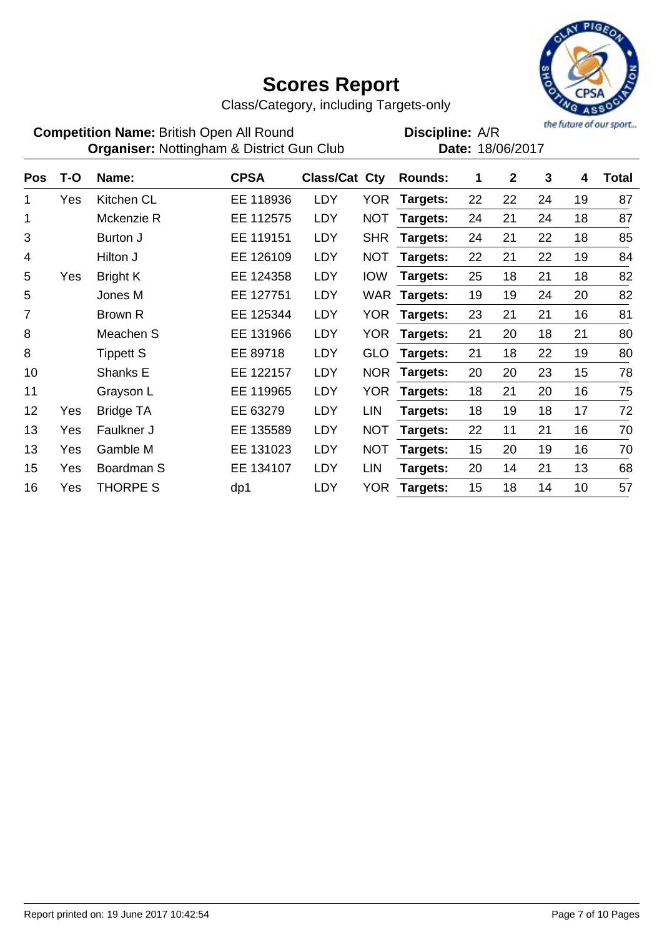

Class/Category, including Targets-only

**Competition Name:** British Open All Round **Competition Name:** A/R **Organiser:** Nottingham & District Gun Club **Date: 18/06/2017** 

| <b>Pos</b> | T-O        | Name:            | <b>CPSA</b> | Class/Cat Cty |            | <b>Rounds:</b> | 1  | $\mathbf{2}$ | 3  | 4  | <b>Total</b> |
|------------|------------|------------------|-------------|---------------|------------|----------------|----|--------------|----|----|--------------|
| 1          | Yes        | Kitchen CL       | EE 118936   | <b>LDY</b>    | <b>YOR</b> | Targets:       | 22 | 22           | 24 | 19 | 87           |
|            |            | Mckenzie R       | EE 112575   | LDY           | <b>NOT</b> | Targets:       | 24 | 21           | 24 | 18 | 87           |
| 3          |            | Burton J         | EE 119151   | <b>LDY</b>    | <b>SHR</b> | Targets:       | 24 | 21           | 22 | 18 | 85           |
| 4          |            | Hilton J         | EE 126109   | LDY           | <b>NOT</b> | Targets:       | 22 | 21           | 22 | 19 | 84           |
| 5          | Yes        | <b>Bright K</b>  | EE 124358   | <b>LDY</b>    | <b>IOW</b> | Targets:       | 25 | 18           | 21 | 18 | 82           |
| 5          |            | Jones M          | EE 127751   | <b>LDY</b>    | <b>WAR</b> | Targets:       | 19 | 19           | 24 | 20 | 82           |
| 7          |            | Brown R          | EE 125344   | <b>LDY</b>    | YOR.       | Targets:       | 23 | 21           | 21 | 16 | 81           |
| 8          |            | Meachen S        | EE 131966   | <b>LDY</b>    | <b>YOR</b> | Targets:       | 21 | 20           | 18 | 21 | 80           |
| 8          |            | <b>Tippett S</b> | EE 89718    | <b>LDY</b>    | <b>GLO</b> | Targets:       | 21 | 18           | 22 | 19 | 80           |
| 10         |            | Shanks E         | EE 122157   | <b>LDY</b>    | <b>NOR</b> | Targets:       | 20 | 20           | 23 | 15 | 78           |
| 11         |            | Grayson L        | EE 119965   | <b>LDY</b>    | <b>YOR</b> | Targets:       | 18 | 21           | 20 | 16 | 75           |
| 12         | Yes        | <b>Bridge TA</b> | EE 63279    | <b>LDY</b>    | LIN        | Targets:       | 18 | 19           | 18 | 17 | 72           |
| 13         | Yes        | Faulkner J       | EE 135589   | <b>LDY</b>    | <b>NOT</b> | Targets:       | 22 | 11           | 21 | 16 | 70           |
| 13         | Yes        | Gamble M         | EE 131023   | <b>LDY</b>    | <b>NOT</b> | Targets:       | 15 | 20           | 19 | 16 | 70           |
| 15         | <b>Yes</b> | Boardman S       | EE 134107   | <b>LDY</b>    | LIN        | Targets:       | 20 | 14           | 21 | 13 | 68           |
| 16         | Yes        | <b>THORPE S</b>  | dp1         | LDY           | <b>YOR</b> | Targets:       | 15 | 18           | 14 | 10 | 57           |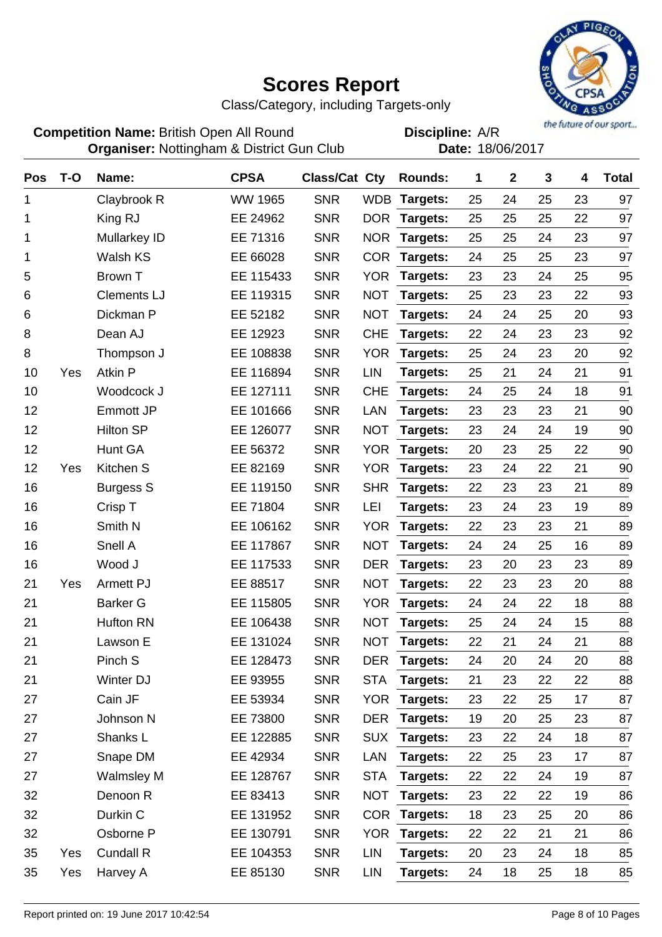

Class/Category, including Targets-only

**Competition Name:** British Open All Round **Competition Name:** A/R **Organiser:** Nottingham & District Gun Club **Date: 18/06/2017** 

| Pos | $T-O$ | Name:               | <b>CPSA</b>    | <b>Class/Cat Cty</b> |            | <b>Rounds:</b> | 1  | $\mathbf{2}$ | 3  | 4  | <b>Total</b> |
|-----|-------|---------------------|----------------|----------------------|------------|----------------|----|--------------|----|----|--------------|
| 1   |       | Claybrook R         | <b>WW 1965</b> | <b>SNR</b>           | <b>WDB</b> | Targets:       | 25 | 24           | 25 | 23 | 97           |
| 1   |       | King RJ             | EE 24962       | <b>SNR</b>           | <b>DOR</b> | Targets:       | 25 | 25           | 25 | 22 | 97           |
| 1   |       | <b>Mullarkey ID</b> | EE 71316       | <b>SNR</b>           | <b>NOR</b> | Targets:       | 25 | 25           | 24 | 23 | 97           |
| 1   |       | Walsh KS            | EE 66028       | <b>SNR</b>           | <b>COR</b> | Targets:       | 24 | 25           | 25 | 23 | 97           |
| 5   |       | <b>Brown T</b>      | EE 115433      | <b>SNR</b>           | <b>YOR</b> | Targets:       | 23 | 23           | 24 | 25 | 95           |
| 6   |       | <b>Clements LJ</b>  | EE 119315      | <b>SNR</b>           | <b>NOT</b> | Targets:       | 25 | 23           | 23 | 22 | 93           |
| 6   |       | Dickman P           | EE 52182       | <b>SNR</b>           | <b>NOT</b> | Targets:       | 24 | 24           | 25 | 20 | 93           |
| 8   |       | Dean AJ             | EE 12923       | <b>SNR</b>           | <b>CHE</b> | Targets:       | 22 | 24           | 23 | 23 | 92           |
| 8   |       | Thompson J          | EE 108838      | <b>SNR</b>           | <b>YOR</b> | Targets:       | 25 | 24           | 23 | 20 | 92           |
| 10  | Yes   | Atkin P             | EE 116894      | <b>SNR</b>           | LIN        | Targets:       | 25 | 21           | 24 | 21 | 91           |
| 10  |       | Woodcock J          | EE 127111      | <b>SNR</b>           | <b>CHE</b> | Targets:       | 24 | 25           | 24 | 18 | 91           |
| 12  |       | <b>Emmott JP</b>    | EE 101666      | <b>SNR</b>           | LAN        | Targets:       | 23 | 23           | 23 | 21 | 90           |
| 12  |       | <b>Hilton SP</b>    | EE 126077      | <b>SNR</b>           | <b>NOT</b> | Targets:       | 23 | 24           | 24 | 19 | 90           |
| 12  |       | Hunt GA             | EE 56372       | <b>SNR</b>           | <b>YOR</b> | Targets:       | 20 | 23           | 25 | 22 | 90           |
| 12  | Yes   | Kitchen S           | EE 82169       | <b>SNR</b>           | <b>YOR</b> | Targets:       | 23 | 24           | 22 | 21 | 90           |
| 16  |       | <b>Burgess S</b>    | EE 119150      | <b>SNR</b>           | <b>SHR</b> | Targets:       | 22 | 23           | 23 | 21 | 89           |
| 16  |       | Crisp T             | EE 71804       | <b>SNR</b>           | LEI        | Targets:       | 23 | 24           | 23 | 19 | 89           |
| 16  |       | Smith N             | EE 106162      | <b>SNR</b>           | <b>YOR</b> | Targets:       | 22 | 23           | 23 | 21 | 89           |
| 16  |       | Snell A             | EE 117867      | <b>SNR</b>           | <b>NOT</b> | Targets:       | 24 | 24           | 25 | 16 | 89           |
| 16  |       | Wood J              | EE 117533      | <b>SNR</b>           | <b>DER</b> | Targets:       | 23 | 20           | 23 | 23 | 89           |
| 21  | Yes   | Armett PJ           | EE 88517       | <b>SNR</b>           | <b>NOT</b> | Targets:       | 22 | 23           | 23 | 20 | 88           |
| 21  |       | <b>Barker G</b>     | EE 115805      | <b>SNR</b>           | <b>YOR</b> | Targets:       | 24 | 24           | 22 | 18 | 88           |
| 21  |       | <b>Hufton RN</b>    | EE 106438      | <b>SNR</b>           | <b>NOT</b> | Targets:       | 25 | 24           | 24 | 15 | 88           |
| 21  |       | Lawson E            | EE 131024      | <b>SNR</b>           | <b>NOT</b> | Targets:       | 22 | 21           | 24 | 21 | 88           |
| 21  |       | Pinch S             | EE 128473      | <b>SNR</b>           | <b>DER</b> | Targets:       | 24 | 20           | 24 | 20 | 88           |
| 21  |       | Winter DJ           | EE 93955       | <b>SNR</b>           | <b>STA</b> | Targets:       | 21 | 23           | 22 | 22 | 88           |
| 27  |       | Cain JF             | EE 53934       | <b>SNR</b>           | <b>YOR</b> | Targets:       | 23 | 22           | 25 | 17 | 87           |
| 27  |       | Johnson N           | EE 73800       | <b>SNR</b>           | <b>DER</b> | Targets:       | 19 | 20           | 25 | 23 | 87           |
| 27  |       | Shanks L            | EE 122885      | <b>SNR</b>           | <b>SUX</b> | Targets:       | 23 | 22           | 24 | 18 | 87           |
| 27  |       | Snape DM            | EE 42934       | <b>SNR</b>           | <b>LAN</b> | Targets:       | 22 | 25           | 23 | 17 | 87           |
| 27  |       | <b>Walmsley M</b>   | EE 128767      | <b>SNR</b>           | <b>STA</b> | Targets:       | 22 | 22           | 24 | 19 | 87           |
| 32  |       | Denoon R            | EE 83413       | <b>SNR</b>           | <b>NOT</b> | Targets:       | 23 | 22           | 22 | 19 | 86           |
| 32  |       | Durkin C            | EE 131952      | <b>SNR</b>           | <b>COR</b> | Targets:       | 18 | 23           | 25 | 20 | 86           |
| 32  |       | Osborne P           | EE 130791      | <b>SNR</b>           | <b>YOR</b> | Targets:       | 22 | 22           | 21 | 21 | 86           |
| 35  | Yes   | <b>Cundall R</b>    | EE 104353      | <b>SNR</b>           | LIN        | Targets:       | 20 | 23           | 24 | 18 | 85           |
| 35  | Yes   | Harvey A            | EE 85130       | <b>SNR</b>           | LIN        | Targets:       | 24 | 18           | 25 | 18 | 85           |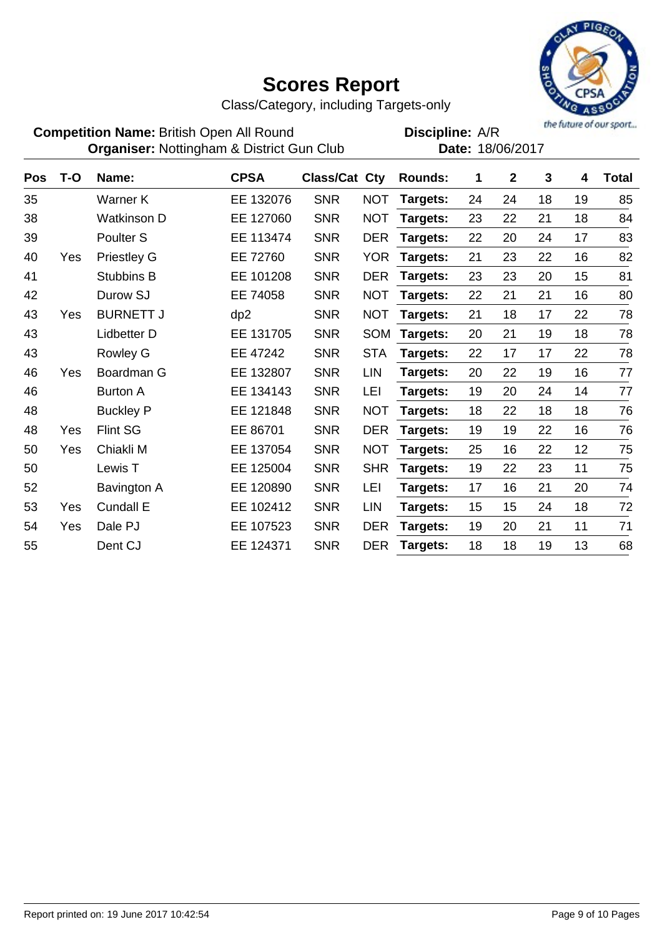

Class/Category, including Targets-only

**Competition Name:** British Open All Round **Competition Name:** A/R **Organiser:** Nottingham & District Gun Club **Date: 18/06/2017** 

| <b>Pos</b> | $T-O$ | Name:                | <b>CPSA</b>   | <b>Class/Cat Cty</b> |            | <b>Rounds:</b>  | 1  | $\mathbf{2}$ | 3  | 4  | <b>Total</b> |
|------------|-------|----------------------|---------------|----------------------|------------|-----------------|----|--------------|----|----|--------------|
| 35         |       | Warner K             | EE 132076     | <b>SNR</b>           | <b>NOT</b> | Targets:        | 24 | 24           | 18 | 19 | 85           |
| 38         |       | <b>Watkinson D</b>   | EE 127060     | <b>SNR</b>           | <b>NOT</b> | Targets:        | 23 | 22           | 21 | 18 | 84           |
| 39         |       | Poulter <sub>S</sub> | EE 113474     | <b>SNR</b>           | <b>DER</b> | Targets:        | 22 | 20           | 24 | 17 | 83           |
| 40         | Yes   | <b>Priestley G</b>   | EE 72760      | <b>SNR</b>           | <b>YOR</b> | Targets:        | 21 | 23           | 22 | 16 | 82           |
| 41         |       | Stubbins B           | EE 101208     | <b>SNR</b>           | <b>DER</b> | Targets:        | 23 | 23           | 20 | 15 | 81           |
| 42         |       | Durow SJ             | EE 74058      | <b>SNR</b>           | <b>NOT</b> | Targets:        | 22 | 21           | 21 | 16 | 80           |
| 43         | Yes   | <b>BURNETT J</b>     | dp2           | <b>SNR</b>           | <b>NOT</b> | Targets:        | 21 | 18           | 17 | 22 | 78           |
| 43         |       | Lidbetter D          | EE 131705     | <b>SNR</b>           | <b>SOM</b> | Targets:        | 20 | 21           | 19 | 18 | 78           |
| 43         |       | <b>Rowley G</b>      | EE 47242      | <b>SNR</b>           | <b>STA</b> | Targets:        | 22 | 17           | 17 | 22 | 78           |
| 46         | Yes   | Boardman G           | EE 132807     | <b>SNR</b>           | LIN        | Targets:        | 20 | 22           | 19 | 16 | 77           |
| 46         |       | <b>Burton A</b>      | EE 134143     | <b>SNR</b>           | LEI        | <b>Targets:</b> | 19 | 20           | 24 | 14 | 77           |
| 48         |       | <b>Buckley P</b>     | EE 121848     | <b>SNR</b>           | <b>NOT</b> | Targets:        | 18 | 22           | 18 | 18 | 76           |
| 48         | Yes   | <b>Flint SG</b>      | EE 86701      | <b>SNR</b>           | <b>DER</b> | Targets:        | 19 | 19           | 22 | 16 | 76           |
| 50         | Yes   | Chiakli M            | EE 137054     | <b>SNR</b>           | <b>NOT</b> | Targets:        | 25 | 16           | 22 | 12 | 75           |
| 50         |       | Lewis T              | EE 125004     | <b>SNR</b>           | <b>SHR</b> | Targets:        | 19 | 22           | 23 | 11 | 75           |
| 52         |       | Bavington A          | 120890<br>EE. | <b>SNR</b>           | LEI        | Targets:        | 17 | 16           | 21 | 20 | 74           |
| 53         | Yes   | <b>Cundall E</b>     | EE 102412     | <b>SNR</b>           | LIN        | Targets:        | 15 | 15           | 24 | 18 | 72           |
| 54         | Yes   | Dale PJ              | EE 107523     | <b>SNR</b>           | <b>DER</b> | Targets:        | 19 | 20           | 21 | 11 | 71           |
| 55         |       | Dent CJ              | EE 124371     | <b>SNR</b>           | <b>DER</b> | Targets:        | 18 | 18           | 19 | 13 | 68           |